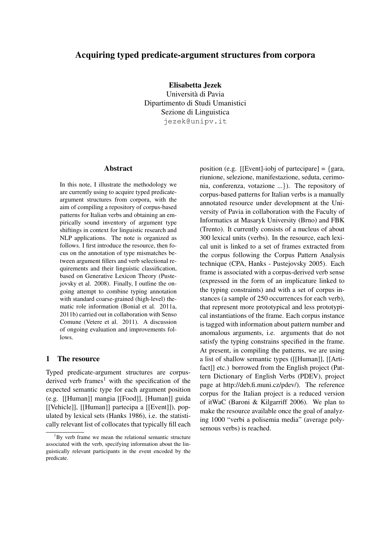# Acquiring typed predicate-argument structures from corpora

Elisabetta Jezek Universita di Pavia ` Dipartimento di Studi Umanistici Sezione di Linguistica jezek@unipv.it

#### Abstract

In this note, I illustrate the methodology we are currently using to acquire typed predicateargument structures from corpora, with the aim of compiling a repository of corpus-based patterns for Italian verbs and obtaining an empirically sound inventory of argument type shiftings in context for linguistic research and NLP applications. The note is organized as follows. I first introduce the resource, then focus on the annotation of type mismatches between argument fillers and verb selectional requirements and their linguistic classification, based on Generative Lexicon Theory (Pustejovsky et al. 2008). Finally, I outline the ongoing attempt to combine typing annotation with standard coarse-grained (high-level) thematic role information (Bonial et al. 2011a, 2011b) carried out in collaboration with Senso Comune (Vetere et al. 2011). A discussion of ongoing evaluation and improvements follows.

#### 1 The resource

Typed predicate-argument structures are corpusderived verb frames<sup>1</sup> with the specification of the expected semantic type for each argument position (e.g. [[Human]] mangia [[Food]], [Human]] guida [[Vehicle]], [[Human]] partecipa a [[Event]]), populated by lexical sets (Hanks 1986), i.e. the statistically relevant list of collocates that typically fill each position (e.g. [[Event]-iobj of partecipare] =  $\{$ gara, riunione, selezione, manifestazione, seduta, cerimonia, conferenza, votazione ...}). The repository of corpus-based patterns for Italian verbs is a manually annotated resource under development at the University of Pavia in collaboration with the Faculty of Informatics at Masaryk University (Brno) and FBK (Trento). It currently consists of a nucleus of about 300 lexical units (verbs). In the resource, each lexical unit is linked to a set of frames extracted from the corpus following the Corpus Pattern Analysis technique (CPA, Hanks - Pustejovsky 2005). Each frame is associated with a corpus-derived verb sense (expressed in the form of an implicature linked to the typing constraints) and with a set of corpus instances (a sample of 250 occurrences for each verb), that represent more prototypical and less prototypical instantiations of the frame. Each corpus instance is tagged with information about pattern number and anomalous arguments, i.e. arguments that do not satisfy the typing constrains specified in the frame. At present, in compiling the patterns, we are using a list of shallow semantic types ([[Human]], [[Artifact]] etc.) borrowed from the English project (Pattern Dictionary of English Verbs (PDEV), project page at http://deb.fi.muni.cz/pdev/). The reference corpus for the Italian project is a reduced version of itWaC (Baroni & Kilgarriff 2006). We plan to make the resource available once the goal of analyzing 1000 "verbi a polisemia media" (average polysemous verbs) is reached.

 $1_{\text{By}}$  verb frame we mean the relational semantic structure associated with the verb, specifying information about the linguistically relevant participants in the event encoded by the predicate.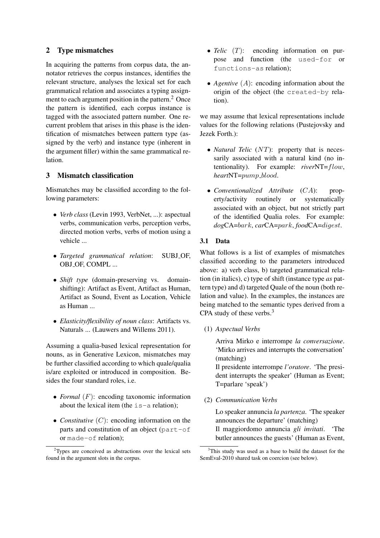## 2 Type mismatches

In acquiring the patterns from corpus data, the annotator retrieves the corpus instances, identifies the relevant structure, analyses the lexical set for each grammatical relation and associates a typing assignment to each argument position in the pattern.<sup>2</sup> Once the pattern is identified, each corpus instance is tagged with the associated pattern number. One recurrent problem that arises in this phase is the identification of mismatches between pattern type (assigned by the verb) and instance type (inherent in the argument filler) within the same grammatical relation.

### 3 Mismatch classification

Mismatches may be classified according to the following parameters:

- *Verb class* (Levin 1993, VerbNet, ...): aspectual verbs, communication verbs, perception verbs, directed motion verbs, verbs of motion using a vehicle ...
- *Targeted grammatical relation*: SUBJ OF, OBJ OF, COMPL ...
- *Shift type* (domain-preserving vs. domainshifting): Artifact as Event, Artifact as Human, Artifact as Sound, Event as Location, Vehicle as Human ...
- *Elasticity/flexibility of noun class*: Artifacts vs. Naturals ... (Lauwers and Willems 2011).

Assuming a qualia-based lexical representation for nouns, as in Generative Lexicon, mismatches may be further classified according to which quale/qualia is/are exploited or introduced in composition. Besides the four standard roles, i.e.

- *Formal* (*F*): encoding taxonomic information about the lexical item (the is-a relation);
- *Constitutive* (*C*): encoding information on the parts and constitution of an object (part-of or made-of relation);
- *Telic* (*T*): encoding information on purpose and function (the used-for or functions-as relation);
- *Agentive* (*A*): encoding information about the origin of the object (the created-by relation).

we may assume that lexical representations include values for the following relations (Pustejovsky and Jezek Forth.):

- *Natural Telic (NT)*: property that is necessarily associated with a natural kind (no intentionality). For example: *river*NT=flow, *heart*NT=pump blood.
- *Conventionalized Attribute* (CA): property/activity routinely or systematically associated with an object, but not strictly part of the identified Qualia roles. For example: *dog*CA=bark, *car*CA=park, *food*CA=digest.

#### 3.1 Data

What follows is a list of examples of mismatches classified according to the parameters introduced above: a) verb class, b) targeted grammatical relation (in italics), c) type of shift (instance type *as* pattern type) and d) targeted Quale of the noun (both relation and value). In the examples, the instances are being matched to the semantic types derived from a CPA study of these verbs.<sup>3</sup>

(1) *Aspectual Verbs*

Arriva Mirko e interrompe *la conversazione*. 'Mirko arrives and interrupts the conversation' (matching)

Il presidente interrompe *l'oratore*. 'The president interrupts the speaker' (Human as Event; T=parlare 'speak')

(2) *Communication Verbs*

Lo speaker annuncia *la partenza*. 'The speaker announces the departure' (matching) Il maggiordomo annuncia *gli invitati*. 'The butler announces the guests' (Human as Event,

<sup>2</sup>Types are conceived as abstractions over the lexical sets found in the argument slots in the corpus.

<sup>&</sup>lt;sup>3</sup>This study was used as a base to build the dataset for the SemEval-2010 shared task on coercion (see below).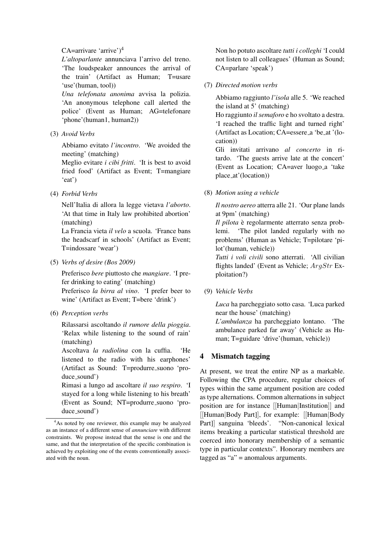#### CA=arrivare 'arrive' $)^4$

*L'altoparlante* annunciava l'arrivo del treno. 'The loudspeaker announces the arrival of the train' (Artifact as Human; T=usare 'use'(human, tool))

*Una telefonata anonima* avvisa la polizia. 'An anonymous telephone call alerted the police' (Event as Human; AG=telefonare 'phone'(human1, human2))

(3) *Avoid Verbs*

Abbiamo evitato *l'incontro*. 'We avoided the meeting' (matching)

Meglio evitare *i cibi fritti*. 'It is best to avoid fried food' (Artifact as Event; T=mangiare 'eat')

(4) *Forbid Verbs*

Nell'Italia di allora la legge vietava *l'aborto*. 'At that time in Italy law prohibited abortion' (matching)

La Francia vieta *il velo* a scuola. 'France bans the headscarf in schools' (Artifact as Event; T=indossare 'wear')

(5) *Verbs of desire (Bos 2009)*

Preferisco *bere* piuttosto che *mangiare*. 'I prefer drinking to eating' (matching)

Preferisco *la birra al vino*. 'I prefer beer to wine' (Artifact as Event; T=bere 'drink')

(6) *Perception verbs*

Rilassarsi ascoltando *il rumore della pioggia*. 'Relax while listening to the sound of rain' (matching)

Ascoltava *la radiolina* con la cuffia. 'He listened to the radio with his earphones' (Artifact as Sound: T=produrre suono 'produce\_sound')

Rimasi a lungo ad ascoltare *il suo respiro*. 'I stayed for a long while listening to his breath' (Event as Sound; NT=produrre suono 'produce\_sound')

Non ho potuto ascoltare *tutti i colleghi* 'I could not listen to all colleagues' (Human as Sound; CA=parlare 'speak')

(7) *Directed motion verbs*

Abbiamo raggiunto *l'isola* alle 5. 'We reached the island at 5' (matching)

Ho raggiunto *il semaforo* e ho svoltato a destra. 'I reached the traffic light and turned right' (Artifact as Location; CA=essere a 'be at '(location))

Gli invitati arrivano *al concerto* in ritardo. 'The guests arrive late at the concert' (Event as Location; CA=aver luogo a 'take place at'(location))

(8) *Motion using a vehicle*

*Il nostro aereo* atterra alle 21. 'Our plane lands at 9pm' (matching)

*Il pilota* è regolarmente atterrato senza problemi. 'The pilot landed regularly with no problems' (Human as Vehicle; T=pilotare 'pilot'(human, vehicle))

*Tutti i voli civili* sono atterrati. 'All civilian flights landed' (Event as Vehicle; ArgStr Exploitation?)

(9) *Vehicle Verbs*

*Luca* ha parcheggiato sotto casa. 'Luca parked near the house' (matching)

*L'ambulanza* ha parcheggiato lontano. 'The ambulance parked far away' (Vehicle as Human; T=guidare 'drive'(human, vehicle))

# Mismatch tagging

At present, we treat the entire NP as a markable. Following the CPA procedure, regular choices of types within the same argument position are coded as type alternations. Common alternations in subject position are for instance [[Human|Institution]] and [[Human|Body Part]], for example: [[Human|Body Part]] sanguina 'bleeds'. "Non-canonical lexical items breaking a particular statistical threshold are coerced into honorary membership of a semantic type in particular contexts". Honorary members are tagged as " $a$ " = anomalous arguments.

<sup>&</sup>lt;sup>4</sup>As noted by one reviewer, this example may be analyzed as an instance of a different sense of *annunciare* with different constraints. We propose instead that the sense is one and the same, and that the interpretation of the specific combination is achieved by exploiting one of the events conventionally associated with the noun.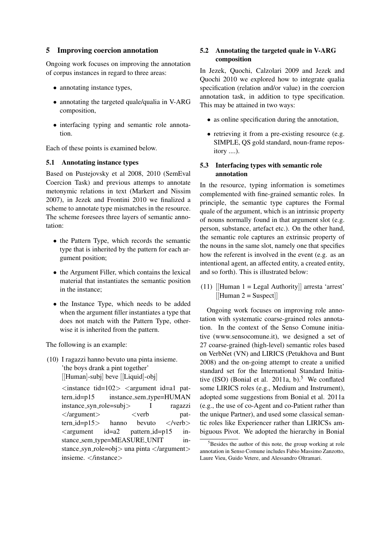### 5 Improving coercion annotation

Ongoing work focuses on improving the annotation of corpus instances in regard to three areas:

- annotating instance types,
- annotating the targeted quale/qualia in V-ARG composition,
- interfacing typing and semantic role annotation.

Each of these points is examined below.

#### 5.1 Annotating instance types

Based on Pustejovsky et al 2008, 2010 (SemEval Coercion Task) and previous attemps to annotate metonymic relations in text (Markert and Nissim 2007), in Jezek and Frontini 2010 we finalized a scheme to annotate type mismatches in the resource. The scheme foresees three layers of semantic annotation:

- the Pattern Type, which records the semantic type that is inherited by the pattern for each argument position;
- the Argument Filler, which contains the lexical material that instantiates the semantic position in the instance;
- the Instance Type, which needs to be added when the argument filler instantiates a type that does not match with the Pattern Type, otherwise it is inherited from the pattern.

The following is an example:

(10) I ragazzi hanno bevuto una pinta insieme. 'the boys drank a pint together' [[Human]-subj] beve [[Liquid]-obj]

> $\langle$ instance tid=102 $>$   $\langle$ argument id=a1 pattern\_id=p15 instance\_sem\_type=HUMAN instance syn role=subj> I ragazzi  $\langle$ argument $\rangle$   $\langle$ verb pat $tern_id=p15$  hanno bevuto  $\langle \text{verb} \rangle$  $\langle$ argument id=a2 pattern\_id=p15 instance\_sem\_type=MEASURE\_UNIT instance\_syn\_role=obj> una pinta </argument> insieme.  $\langle$ /instance $\rangle$

## 5.2 Annotating the targeted quale in V-ARG composition

In Jezek, Quochi, Calzolari 2009 and Jezek and Quochi 2010 we explored how to integrate qualia specification (relation and/or value) in the coercion annotation task, in addition to type specification. This may be attained in two ways:

- as online specification during the annotation,
- retrieving it from a pre-existing resource (e.g. SIMPLE, QS gold standard, noun-frame repository ....).

## 5.3 Interfacing types with semantic role annotation

In the resource, typing information is sometimes complemented with fine-grained semantic roles. In principle, the semantic type captures the Formal quale of the argument, which is an intrinsic property of nouns normally found in that argument slot (e.g. person, substance, artefact etc.). On the other hand, the semantic role captures an extrinsic property of the nouns in the same slot, namely one that specifies how the referent is involved in the event (e.g. as an intentional agent, an affected entity, a created entity, and so forth). This is illustrated below:

(11)  $[$ Human 1 = Legal Authority $]$  arresta 'arrest'  $[[Human 2 = Suspect]]$ 

Ongoing work focuses on improving role annotation with systematic coarse-grained roles annotation. In the context of the Senso Comune initiative (www.sensocomune.it), we designed a set of 27 coarse-grained (high-level) semantic roles based on VerbNet (VN) and LIRICS (Petukhova and Bunt 2008) and the on-going attempt to create a unified standard set for the International Standard Initiative (ISO) (Bonial et al. 2011a, b).<sup>5</sup> We conflated some LIRICS roles (e.g., Medium and Instrument), adopted some suggestions from Bonial et al. 2011a (e.g., the use of co-Agent and co-Patient rather than the unique Partner), and used some classical semantic roles like Experiencer rather than LIRICSs ambiguous Pivot. We adopted the hierarchy in Bonial

 $5$ Besides the author of this note, the group working at role annotation in Senso Comune includes Fabio Massimo Zanzotto, Laure Vieu, Guido Vetere, and Alessandro Oltramari.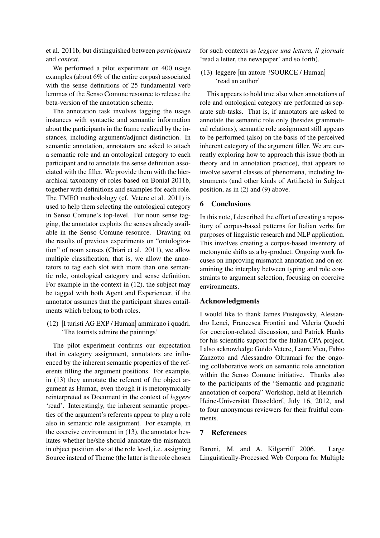et al. 2011b, but distinguished between *participants* and *context*.

We performed a pilot experiment on 400 usage examples (about 6% of the entire corpus) associated with the sense definitions of 25 fundamental verb lemmas of the Senso Comune resource to release the beta-version of the annotation scheme.

The annotation task involves tagging the usage instances with syntactic and semantic information about the participants in the frame realized by the instances, including argument/adjunct distinction. In semantic annotation, annotators are asked to attach a semantic role and an ontological category to each participant and to annotate the sense definition associated with the filler. We provide them with the hierarchical taxonomy of roles based on Bonial 2011b, together with definitions and examples for each role. The TMEO methodology (cf. Vetere et al. 2011) is used to help them selecting the ontological category in Senso Comune's top-level. For noun sense tagging, the annotator exploits the senses already available in the Senso Comune resource. Drawing on the results of previous experiments on "ontologization" of noun senses (Chiari et al. 2011), we allow multiple classification, that is, we allow the annotators to tag each slot with more than one semantic role, ontological category and sense definition. For example in the context in (12), the subject may be tagged with both Agent and Experiencer, if the annotator assumes that the participant shares entailments which belong to both roles.

(12) [I turisti AG EXP / Human] ammirano i quadri. 'The tourists admire the paintings'

The pilot experiment confirms our expectation that in category assignment, annotators are influenced by the inherent semantic properties of the referents filling the argument positions. For example, in (13) they annotate the referent of the object argument as Human, even though it is metonymically reinterpreted as Document in the context of *leggere* 'read'. Interestingly, the inherent semantic properties of the argument's referents appear to play a role also in semantic role assignment. For example, in the coercive environment in (13), the annotator hesitates whether he/she should annotate the mismatch in object position also at the role level, i.e. assigning Source instead of Theme (the latter is the role chosen

for such contexts as *leggere una lettera, il giornale* 'read a letter, the newspaper' and so forth).

(13) leggere [un autore ?SOURCE / Human] 'read an author'

This appears to hold true also when annotations of role and ontological category are performed as separate sub-tasks. That is, if annotators are asked to annotate the semantic role only (besides grammatical relations), semantic role assignment still appears to be performed (also) on the basis of the perceived inherent category of the argument filler. We are currently exploring how to approach this issue (both in theory and in annotation practice), that appears to involve several classes of phenomena, including Instruments (and other kinds of Artifacts) in Subject position, as in (2) and (9) above.

## 6 Conclusions

In this note, I described the effort of creating a repository of corpus-based patterns for Italian verbs for purposes of linguistic research and NLP application. This involves creating a corpus-based inventory of metonymic shifts as a by-product. Ongoing work focuses on improving mismatch annotation and on examining the interplay between typing and role constraints to argument selection, focusing on coercive environments.

#### Acknowledgments

I would like to thank James Pustejovsky, Alessandro Lenci, Francesca Frontini and Valeria Quochi for coercion-related discussion, and Patrick Hanks for his scientific support for the Italian CPA project. I also acknowledge Guido Vetere, Laure Vieu, Fabio Zanzotto and Alessandro Oltramari for the ongoing collaborative work on semantic role annotation within the Senso Comune initiative. Thanks also to the participants of the "Semantic and pragmatic annotation of corpora" Workshop, held at Heinrich-Heine-Universität Düsseldorf, July 16, 2012, and to four anonymous reviewers for their fruitful comments.

### 7 References

Baroni, M. and A. Kilgarriff 2006. Large Linguistically-Processed Web Corpora for Multiple